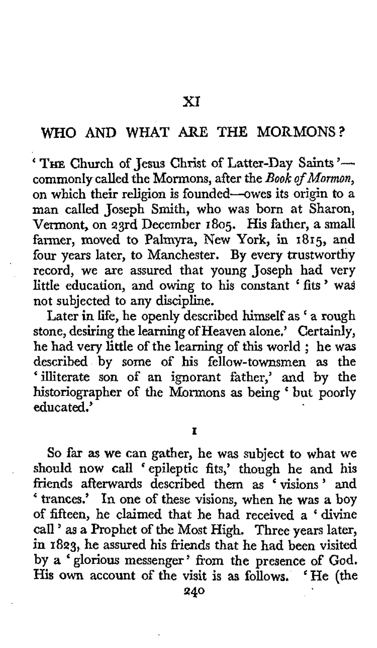## **WHO AND WHAT** ARE THE MORMONS?

' THE Church of Jesus Christ of Latter-Day Saints'commonly called the Mormons, after the *Book of Momzon,*  on which their religion **is** founded-owes its origin to a man called Joseph Smith, who was born at Sharon, Vermont, on 23rd December **1805.** His father, a small farmer, moved to Palmyra, New York, in **1815,** and four years later, to Manchester. By every trustworthy record, we are assured that young Joseph had very little education, and owing to his constant ' fits ' was not subjected to any discipline.

Later in life, he openly described himself as ' a rough stone, desiring the learning *of* Heaven alone.' Certainly, he had very little of the learning of this world ; he was described **by** some of his fellow-townsmen as the 'illiterate **son** of an ignorant father,' and by the historiographer of the Mormons **as** being ' but poorly educated.'

**I** 

*So* far **as** we can gather, he was subject *to* what we should now call 'epileptic fits,' though he and his friends afterwards described them as "visions' and ' trances.' In one of these visions, when he was a boy of fifteen, he claimed that he had received a ' divine call ' as a Prophet of the Most High. Three years later, in **1823,** he assured his friends that he had been visited by *a* ' glorious messenger ' from the presence of God. His **own** account of the visit is **as** follows. ' He (the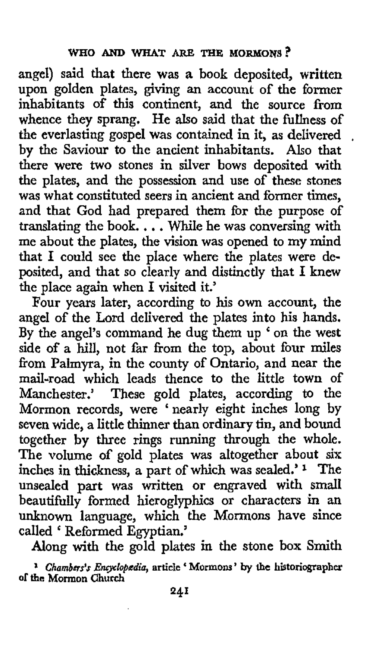angel) said that there was *a* book deposited, written upon golden plates, giving an account of the former inhabitants of this continent, and the source from whence they sprang. He also said that the fullness of the everlasting gospel was contained in it, as delivered , by the Saviour to the ancient inhabitants. Also that there were **two** stones in silver bows deposited with the plates, and the possession and use of these stones was what constituted seers in ancient and former times. and that God had prepared them for the purpose of translating the book. . . . While he was conversing with me about the plates, the vision was opened to my mind that I could see the place where the plates were deposited, and that so clearly and distinctly that I knew the place again when I visited it.'

Four years later, according to his own account, the angel of the Lord delivered the plates into his hands. By the angel's command he dug them up ' on the west side of a hill, not far from the top, about four miles from Palmyra, in the county of Ontario, and near the mail-road which leads thence to the little town of Manchester.' These gold plates, according to the Mormon records, were 'nearly eight inches long by seven wide, a little thinner than ordinary tin, and bound together by three rings running through the whole. The volume of gold plates was altogether about six inches in thickness, a part of which was sealed.' **1** The unsealed part was written or engraved with small beautifully formed hieroglyphics or characters in an unknown language, which the **Mormons** have since called ' Reformed Egyptian.'

Along with the gold plates in the stone box Smith

**<sup>1</sup>***Chambers's Emploplsdia,* **article** ' **Mormons' by the historiographer of the Mormon Church**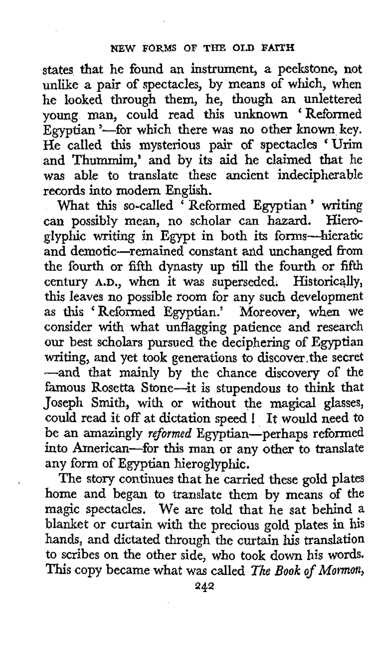states that he found an instrument, a peelstone, not unlike a pair of spectacles, by means of which, when he looked through them, he, though an unlettered young man, could read this unknown 'Reformed Egyptian '---for which there was no other known key. He called this mysterious pair of spectacles 'Urim and Thummim,' and by its aid he claimed that he was able to translate these ancient indecipherable records into modern English.

What this so-called 'Reformed Egyptian' writing can possibly mean, no scholar can hazard. Hieroglyphic writing in Egypt in both its forms-hieratic and demotic-remained constant and unchanged from the fourth or fifth dynasty up till the fourth or fifth century **A.D.,** when it was superseded. Historically, this leaves no possible room for any such development as this 'Reformed Egyptian.' Moreover, when we consider with what unflagging patience and research our best scholars pursued the deciphering of Egyptian writing, and yet took generations to discover,the secret -and that mainly by the chance discovery of the famous Rosetta Stone-it is stupendous to think that Joseph Smith, with or without the magical glasses, could read it *off* at dictation speed ! It would need to be an amazingly *reformed* Egyptian-perhaps reformed into American-for this man or any other to translate any form of Egyptian hieroglyphic.

The story continues that he carried these gold plates home and began to translate them by means of the magic spectacles. We are told that he sat behind a blanket or curtain with the precious gold plates in his hands, and dictated through the curtain **his** translation to scribes on the other side, who took down his words. This copy became what was called *The Book of Mormon*,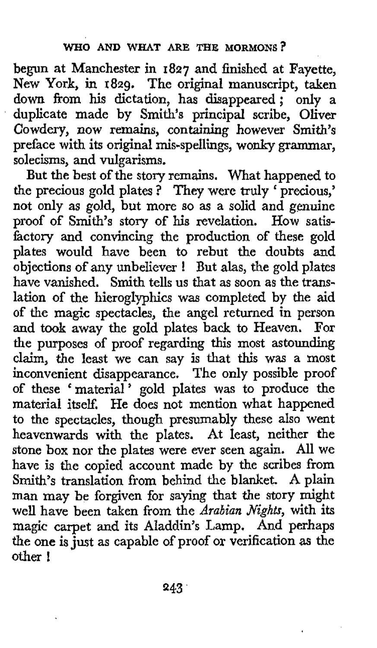begun at Manchester in **1827** and finished at Fayette, New York, in **1829.** The original manuscript, taken **down** from his dictation, has disappeared; only a duplicate made by Smith's principal scribe, Oliver Cowdery, now remains, containing however Smith's preface with its original mis-spellings, wonky grammar, solecisms, and vulgarisms.

But the best of the story remains. What happened to the precious gold plates ? They were truly ' precious,' not only as gold, but more so as a solid and genuine proof of Smith's story of his revelation. How satisfactory and convincing the production of these gold plates would have been to rebut the doubts and objections of any unbeliever ! But alas, the gold plates have vanished. Smith tells us that as **soon** as the translation of the hieroglyphics was completed by the aid of the magic spectacles, the angel returned in person and took away the gold plates back to Heaven. For the purposes of proof regarding this most astounding claim, the least we can say is that this was a most inconvenient disappearance. The only possible proof of these 'material' gold plates was to produce the material itself, He does not mention what happened to the spectacles, though presumably these also went heavenwards with the plates. At least, neither the stone box nor the plates were ever seen again. **All** we have is the copied account made by the scribes from Smith's translation from behind the blanket. A plain man may be forgiven for saying that the story might well have been taken from the *Arabian sights,* with its magic carpet and its AIaddin's Lamp. And perhaps the one is just as capable of proof or verification **as** the other !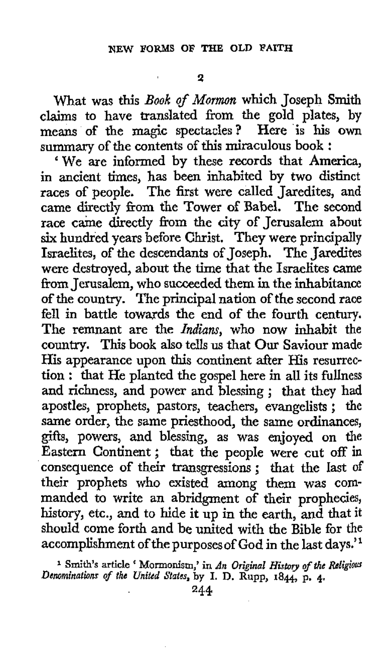**2** 

what was this *Book* of *Mormon* which Joseph **Smith**  claims to have translated from the gold plates, by means of the magic spectacles? Here is his **own**  summary of the contents of this miraculous book :

We are informed by these records that America, in ancient times, has been inhabited by two distinct races of people. The first were called Jaredites, and came directly from the Tower of Babel. The second race came directly from the city of Jerusalem about six hundred years before Christ. They were principally Israelites, of the descendants of Joseph. The Jaredites were destroyed, about the time that the Israelites came from Jerusalem, **who** succeeded them in the inhabitance of the country. The principal nation of the second race fell in battle towards the end of the fourth century. The remnant are the *Indians,* who now inhabit the country. This book also tells us that Our Saviour made His appearance upon this continent after His resurrection : that He planted the gospel here in **all** its fullness and richness, and power and blessing ; that they had apostles, prophets, pastors, teachers, evangelists ; the same order, the same priesthood, the same ordinances, gifts, powers, and blessing, **as** was enjoyed on the Eastern Continent ; that the people were cut off in consequence of their transgressions; that the last of their prophets who existed among them was commanded to write an abridgment of their prophecies, history, etc., and to hide it up in the earth, and that it should come forth and be united with the Bible for the accomplishment of the purposesof God in the last days."

*Denominations of the United States,* **by I. D. Rupp, 1844,** p. **4. Smith's article** ' Mormonism,' **in** *An Original Histoy ofthe Religious*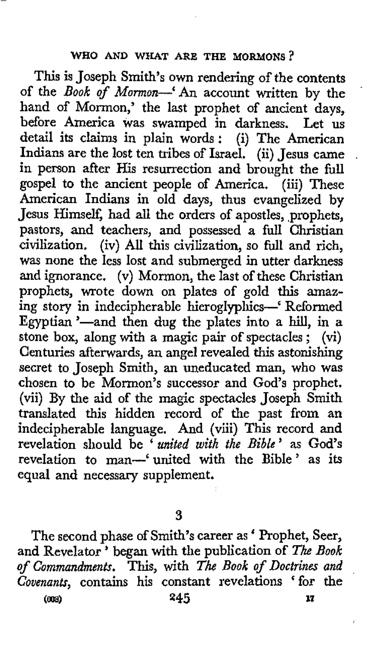## **WHO AND WHAT ARE THE MORMONS?**

This is Joseph Smith's own rendering of the contents of the *Book of* Mormon-'An account written by the hand of Mormon,' the last prophet of ancient days, before America was swamped in darkness. Let us detail its **claims** in plain words: (i) The American Indians are the lost ten tribes of Israel. (ii) Jesus came . in person after His resurrection and brought the full gospel to the ancient people of America. (iii) These American Indians in old days, thus evangelized by Jesus Himself, had all the orders of apostles, prophets, pastors, and teachers, and possessed a full Christian civilization. (iv) *All* this civilization, so full and rich, was none the less lost and submerged in utter darkness and ignorance. (v) Mormon, the last of these Christian prophets, wrote down on plates of gold this amazing story in indecipherable hieroglyphics-' Reformed Egyptian '-and then dug the plates into a hill, in a stone box, along with a magic pair of spectacles; (vi) Centuries afterwards, an angel revealed this astonishing secret to Joseph Smith, an uneducated man, who was chosen to be Mormon's successor and God's prophet. (vii) By the aid of the magic spectacles Joseph Smith translated this hidden record of the past from an indecipherable language. And (viii) This record and revelation should be ' *united with the Bible* ' as God's revelation to man-'united with the Bible' as its equal and necessary supplement.

**3** 

The second phase of Smith's career as ' Prophet, Seer, and Revelator<sup>3</sup> began with the publication of *The Book of Commandments.* This, with *The Book of Doctrines and Covenants,* contains his constant revelations ' for the  $(000)$ (rn) **245 17** 

.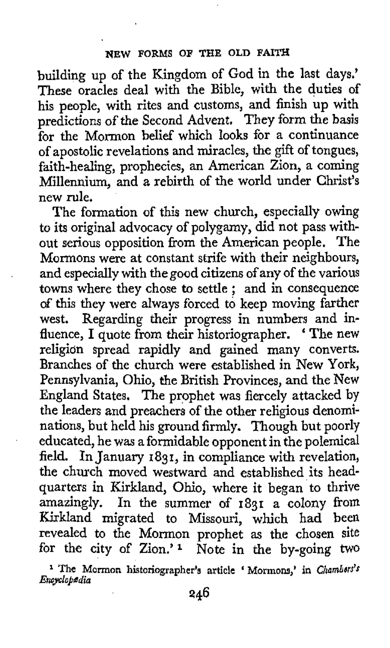building up of the Kingdom of God in the last days.' These oracles deal with the Bible, with the duties of his people, with rites and customs, and finish up with predictions of the Second Advent. They form the basis for the Mormon belief which looks for a continuance of apostolic revelations and miracles, the gift of tongues, faith-healing, prophecies, an American Zion, a coming Millennium, and a rebirth of the world under Christ's new rule.

The formation of this new church, especially owing to its original advocacy of polygamy, did not pass without serious opposition from the American people. The Mormons were at constant strife with their neighbours, and especially with the good citizens of any of the various and especially with the good citizens of any of the various<br>towns where they chose to settle ; and in consequence of this they were always forced to keep moving farther west. Regarding their progress in numbers and influence, I quote from their historiographer. 'The new religidn spread rapidly and gained many converts. Branches of the church were established in New York, Pennsylvania, Ohio, the British Provinces, and the New England States. The prophet was fiercely attacked by the leaders and preachers of the other religious denominations, but held his ground firmly. Though but poorly educated, he was a formidable opponent in the polemical field. In January 1831, in compliance with revelation, the church moved westward and established its headquarters in Kirkland, Ohio, where it began to thrive amazingly. In the summer of **1831** a colony from Kirkland migrated to Missouri, which had been revealed to the Mormon prophet as the chosen site for the city of Zion.'1 Note in the by-going two

<sup>&</sup>lt;sup>1</sup> The Mormon historiographer's article ' Mormons,' in *Chambers's EncyCok&dia*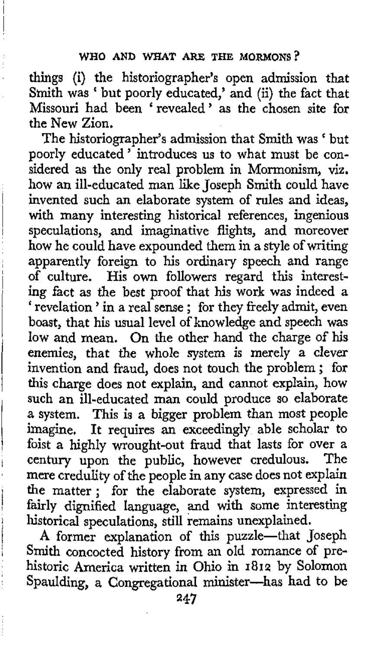things (i) the historiographer's open admission that Smith was ' but poorly educated,' and (ii) the fact that Missouri had been 'revealed' as the chosen site for the New Zion.

The historiographer's admission that **Smith was** ' but poorly educated ' introduces us to what must be considered as the only real problem in Mormonism, viz. how an ill-educated man like Joseph Smith could have invented such an elaborate system of rules and ideas, with many interesting historical references, ingenious speculations, and imaginative flights, and moreover how he could have expounded them in a style of writing apparently foreign to his ordinary speech and range of culture. His **own** followers regard this interest**ing** fact as the best proof that his work **was** indeed a ' revelation ' in a real sense ; for they freely admit, even boast, that his usual level of knowledge and speech was low and mean. On the other hand the charge of his enemies, that the whole system is merely a clever invention and fraud, does not touch the problem ; for this charge does not explain, and cannot explain, how such an ill-educated man could produce so elaborate a system. This is a bigger problem than most people imagine. It requires an exceedingly able scholar to foist a highly wrought-out fraud that lasts for over a century upon the public, however credulous. The mere credulity of the people in any case does not explain the matter ; for the elaborate system, expressed in fairly dignified language, and with some interesting historical speculations, still remains unexplained.

A former explanation of this puzzle-that Joseph *smith* concocted history from an old romance of prehistoric America written in Ohio in **1812** by Solomon Spaulding, **a** Congregational minister-has had to **be**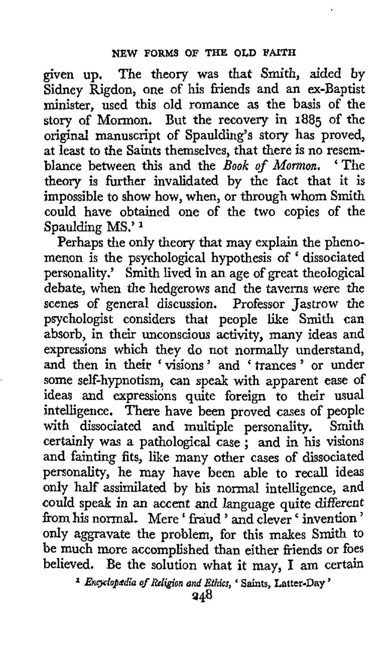given up. The theory was that Smith, aided by Sidney Rigdon, one of his friends and an ex-Baptist minister, used this old romance as the basis of the story of Mormon. But the recovery in **1885** of the original manuscript of Spaulding's story has proved, at least to the Saints themselves, that there is no resemblance between this and the *Book of Mormon,* ' The theory is further invalidated by the fact that it is impossible to show how, when, or through whom Smith could have obtained one of the two copies of the Spaulding MS.'<sup>1</sup>

Perhaps the only theory that may explain the phenomenon is the psychological hypothesis of ' dissociated personality.' Smith lived in an age of great theological debate, when the hedgerows and *the* taverns were the scenes of general discussion. Professor Jastrow the psychologist considers that people like Smith can absorb, in their unconscious activity, many ideas and expressions which they do not normally understand, and then in their 'visions' and 'trances' or under some self-hypnotism, can speak with apparent ease of ideas and expressions quite foreign to their usual intelligence. There have been proved cases of people with dissociated and multiple personality. Smith certainly was a pathological case ; and in his visions and fainting fits, like many other cases of dissociated personality, he may have been able to recall ideas only half assimilated by **his** normal intelligence, and could speak in an accent and language quite different from his normal. Mere 'fraud ' and clever ' invention ' only aggravate the problem, for this makes Smith **to**  be much more accomplished than either friends or foes believed. Be the solution what it may, **I** am certain

<sup>&</sup>lt;sup>1</sup> Encyclopedia of Religion and *Ethics*, ' Saints, Latter-Day '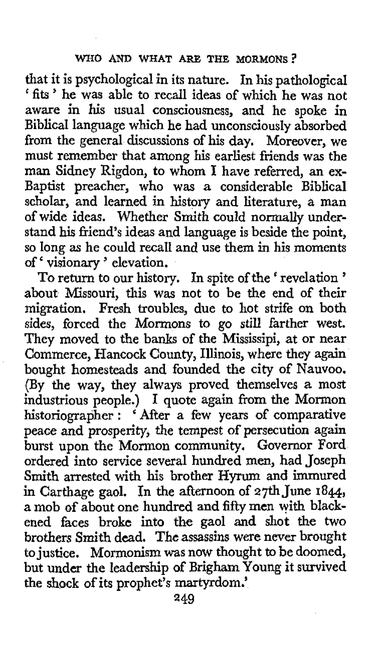that it is psychological in its nature. In his pathological ' **fits** ' he was able to recall ideas of which he was not aware in his usual consciousness, and he spoke in Biblical language which he had unconsciously absorbed from the general discussions of his day. Moreover, we must remember that among his earliest friends was the man Sidney Rigdon, to whom **I** have referred, an ex-Baptist preacher, who was a considerable Biblical scholar, and learned in history and literature, a man of wide ideas. Whether Smith could normally understand his friend's ideas and language is beside the point, so long as he could recall and use them in his moments of ' visionary ' elevation.

To return to our history. In spite **of** the ' revelation ' about Missouri, this was not to be the end of their migration. Fresh troubles, due to hot strife on both sides, forced the Mormons *to* go **still** farther west. They moved to the banks of the Mississipi, at **or** near Commerce, Hancock County, Illinois, where they again bought homesteads and founded the city of Nauvoo. (By the way, they always proved themselves **a** most industrious people.) **I** quote again from the Mormon historiographer : ' After a few years of comparative peace **and** prosperity, the tempest of persecution again burst upon the Mormon community, Governor Ford ordered into service several hundred men, had Joseph **Smith** arrested with his brother **Hyrum** and immured in Carthage gaol. In the afternoon of 27thJune **1844,**  a mob of about one hundred and fifty men **with** blackened faces broke into the gaol and shot the two brothers Smith dead, **The** assassins were never brought to justice. Mormonism **was** now thought to be doomed, but under the leadership of Brigham Young it survived the shock of its prophet's martyrdom.'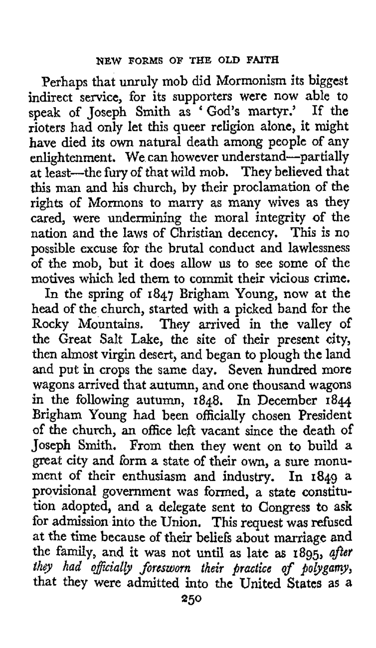Perhaps that unruly mob did Mormonism its biggest indirect service, for its supporters were now able to speak of Joseph Smith as ' God's martyr.' If the rioters had only let this queer religion alone, it might have died its own natural death among people of any enlightenment. We can however understand-partial at least-the **fury** of that wild mob. They believed that this man and his church, by their proclamation of the rights of Mormons to marry as many wives as they cared, were undermining the moral integrity of the nation and the laws of Christian decency. This is no possible excuse for the brutal conduct and lawlessness **of** the mob, but it does allow **us** to see some of the motives which led them to commit their vicious crime.

In the spring of **1847** Brigham Young, now at the head of the church, started with a picked band for the Rocky Mountains. **They** arrived in the valley of the Great Salt Lake, the site of their present city, then almost virgin desert, and began to plough the land and put in crops the same day, Seven hundred more wagons arrived that autumn, and one thousand wagons in the following autumn, **1848.** In December **1844**  Brigham Young had been officially chosen President **of** the church, an office left vacant since the death of Joseph Smith. From then they went on to build **a**  great city and form a state of their **own,** a sure monument of their enthusiasm and industry. In **1849** a provisional government was formed, **a** state constitution adopted, and a delegate sent to Congress to **ask**  for admission into the Union. This request was refused at the time because of their beliefs about marriage and the family, and it was not until as late **as 1895,**  *they had o\$icial& foresworn their practice 03' polygamy,*  that they were admitted into the United States as a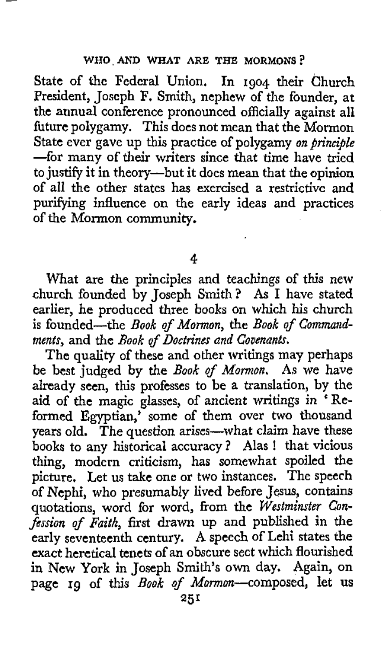State of thc Federal Union. In **1904** their Church President, Joscph F, Smith, nephew of the founder, at the annual conference pronounced officially against all future polygamy. This does not mean that the Mormon State ever gave up this practice of polygamy *on principle*  -for many of their writers since that time have tried to justify it in theory--but it does mean that the opinion of all the other states has exercised a restrictive and purifying influence on the early ideas and practices of the Mormon community.

**4** 

What are the principles and teachings of this new church founded by Joseph Smith? As **I** have stated earlier, he produced three **books** on which his church is founded-the *Book* of *Mormon,* the *Book of Commandments'* and the *Rook of Doctrines and Covenants.* 

The quality of these and other writings may perhaps **be** best judged **by** the *Book qf Mormon.* **As** we have already seen, this professes to be a translation, by the aid of the magic glasses, of ancient writings in 'Reformed Egyptian,' some of them over two thousand years old. The question arises-what claim have these **books** to any historical accuracy? Alas ! that vicious thing, modern criticism, has somewhat spoiled the picture, Let us take one or two instances. The speech of Nephi, who presumably lived before Jesus, contains quotations, word for word, from the *Westminster Confission of Faith,* first drawn **up** and published in the early seventeenth century. A speech of Lehi states the exact heretical tenets of an obscure sect which flourished in New York in Joseph Smith's own day. Again, on page **rg** of this *Book* of Mormon-composed, **let us**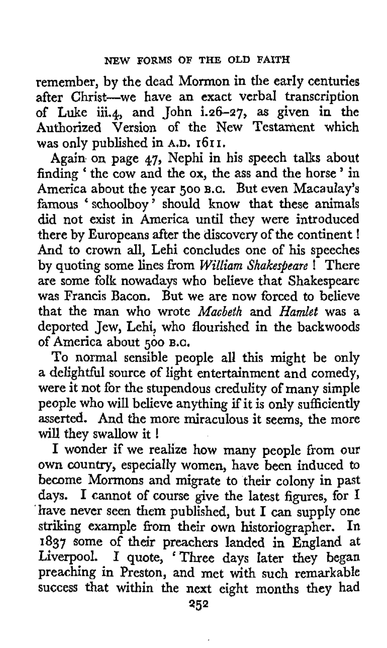remember, by the dead Mormon in the early centuries after Christ-we have an exact verbal transcription of Luke iii.4, and John i.26-27, **as** given in the Authorized Version of the New Testament which was only published in **A.D. 161 I.** 

Again on page 47, Nephi in his speech talks about finding ' the cow and the **ox,** the ass and the horse ' in America about the year *500* **B.C.** But even Macaulay's famous ' schoolboy ' should know that these animals **did** not exist in America until they were introduced there by Europeans after the discovery of the continent ! And to crown all, Lehi concludes one of his speeches by quoting some lines from *William Shakespeare* ! There are some folk nowadays who believe that Shakespeare was Francis Bacon. But we are now forced to believe that the man who wrote *Macbeth* and *Hamlet* **was** a deported Jew, Lehi, who flourished in the backwoods of America about **500** B.C.

To normal sensible people all this might be only a delightful source of light entertainment and comedy, were it not for the stupendous credulity of many simple people who will believe anything if it is **only** sufficiently asserted. And the more miraculous it seems, the more will they swallow it !

I wonder if we realize how many people from our own country, especially women, have been induced to become Mormons and migrate to their colony in past days. I cannot of course give the latest figures, for I 'kave never seen them published, but I can supply one striking example fiom their own historiographer. In 1837 some of their preachers landed in England at Liverpool. I quote, 'Three days Iater they began preaching in Preston, and met with such remarkable success that within the next eight months they had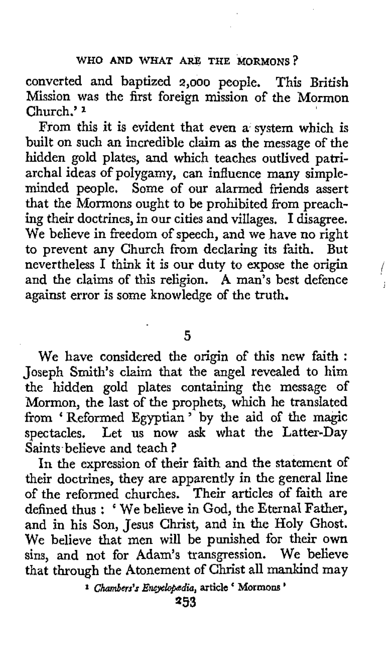converted and baptized *2,000* people. This British Mission was the first foreign mission of the Mormon Church.' **<sup>1</sup>**

From this it is evident that even a system which is built on such an incredible claim **as** the message of the hidden gold plates, and which teaches outlived patriarchal ideas of polygamy, can influence many simpleminded people. Some of our alarmed friends assert that the Mormons ought to be prohibited from preaching their doctrines, in our cities and villages. **I** disagree. **We** believe in freedom of speech, and we have no right to prevent any Church from declaring its faith. But nevertheless I think it is our duty to expose the origin and the claims of this religion. A man's best defence against error is some knowledge of the truth.

/

**5** 

We have considered the origin of this new **faith** : Joseph Smith's claim that the angel revealed to him the hidden gold plates containing the message **of**  Mormon, the last of the prophets, which he translated from ' Reformed Egyptian ' by the aid of the magic spectacles. Let us now ask what the Latter-Day Saints believe and teach?

In the expression of their faith and the statement of their doctrines, they are apparently in the general line of the reformed churches. Their articles **of** faith are defined thus : ' **We** believe in God, the Eternal Father, and in his Son, Jesus Christ, and in the Holy Ghost. We believe that men will be punished for their **own**  sins, and not for Adam's transgression. We believe that through the Atonement of Christ all mankind may

**<sup>1</sup>***Chambers's Encyk@dia,* **article** ' **Mormons** '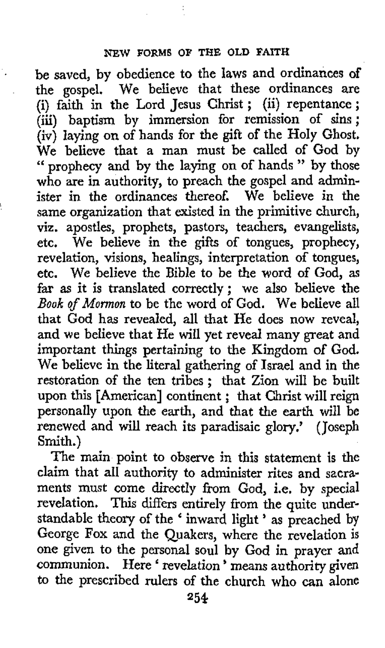be saved, by obedience to the laws and ordinances of the gospel. We believe that these ordinances are (i) faith in the Lord Jesus Christ ; (ii) repentance ; (iii) baptism by immersion for remission of sins ; (iv) laying on of hands for the gift of the Holy Ghost, We believe that a man must be called of God by " prophecy and by the laying on of hands " by those who are in authority, to preach the gospel and administer in the ordinances thereof. We believe in the same organization that existed in the primitive church, viz. apostles, prophets, pastors, teachers, evangelists, etc. We believe in the **gifts** of tongues, prophecy, revelation, visions, healings, interpretation of tongues, etc. We believe the Bible to be the word of God, as far as it is translated correctly; we also believe the *Book of Mormon* to be the word of God. **We** believe all that God has revealed, all that He does now reveal, and we believe that He will yet reveal many great and important things pertaining to the Kingdom of God. We believe in the literal gathering of Israel and in the restoration of the ten tribes ; that Zion will be built upon this [American] continent ; that Christ will reign personally upon the earth, and that the earth will be renewed and will reach its paradisaic glory,' (Joseph Smith.)

The main point to observe in this statement is the claim that a11 authority to administer rites and sacraments must come directly from God, i.e. by special revelation. This differs entirely from the quite under-standable theory of the ' inward light ' as preached by George **Fox** and the Quakers, where the revelation is one given to the personal soul by God in prayer and communion. Here ' revelation ' means authority given to the prescribed rulers of the church **who** can alone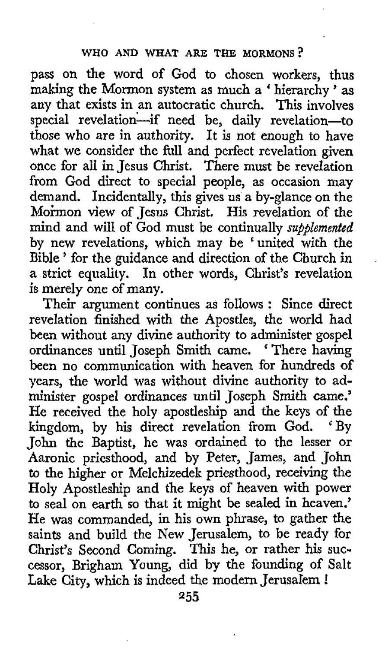pass on the word of God to chosen workers, thus making the Mormon system as much a 'hierarchy' as any that exists in an autocratic church. This involves special revelation-if need be, daily revelation-to those who are in authority. It is not enough to have what we consider the full and perfect revelation given once for all in Jesus Christ. There must be revelation from God direct to special people, as occasion may demand. Incidentally, this gives us a by-glance on the Mormon view of Jesus Christ. His revelation of the mind and will of God must be continually *supplemented*  by new revelations, which may be 'united with the Bible ' for the guidance and direction of the Church in a strict equality. In other words, Christ's revelation is merely one of many.

.

Their argument continues as follows : Since direct revelation finished with the Apostles, the world had been without any divine authority to administer gospel ordinances until Joseph Smith came. There having been no communication with heaven for hundreds **of**  years, the world was without divine authority to administer gospel ordinances until Joseph Smith **came.'**  He received the holy apostleship and the keys of the kingdom, by his direct revelation from God. 'By kingdom, by his direct revelation from God. John the Baptist, he was ordained to the lesser or Aaronic priesthood, and by Peter, James, and John to the higher or Melchizedek priesthood, receiving the Holy Apostleship and the keys of heaven with power to seal on earth so that it might be sealed in heaven.' He was commanded, in his **own** phrase, to gather the saints and build the New Jerusalem, to be ready for Christ's Second Coming. This he, or rather his successor, Brigham Young, did by the founding of Salt Lake City, which is indeed the modern Jerusalem !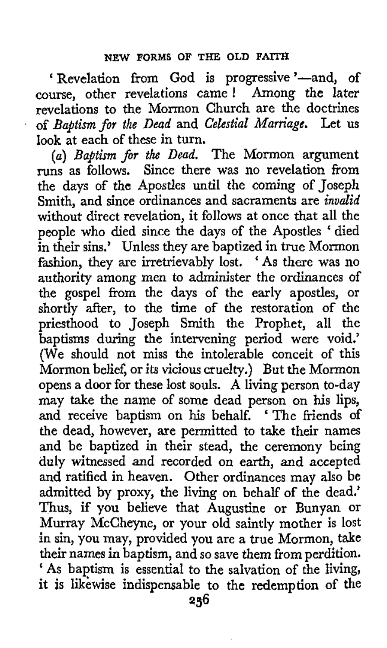' Revelation from God is progressive '-and, of course, other revelations came ! Among the later revelations to the Mormon Church are the doctrines of *Baptism for the Dead* and *Celestial Marriage.* Let us look at each of these in turn.

(a) Baptism for the Dead. The Mormon argument runs as follows. Since there was no revelation from the days of the Apostles until the coming of Joseph Smith, and since ordinances and sacraments are *invalid*  without direct revelation, it follows at once that all the people who died since the days of the Apostles 'died in their sins.' Unless they are baptized in true Mormon fashion, they are irretrievably lost. ' **As** there was no authority among men to administer the ordinances of the gospel from the days of the early apostles, or shortly after, to the time of the restoration of the priesthood to Joseph Smith the Prophet, all the baptisms during the intervening period were void.' (We should not miss the intolerable conceit of this Mormon belief, or its vicious cruelty.) But the Mormon opens a door for these lost souls. **A** living person to-day may take the name of some dead person on his lips, and receive baptism on his behalf. 'The friends of the dead, however, are permitted to take their names and be baptized in their stead, the ceremony being duly witnessed and recorded on earth, and accepted and ratified in heaven. Other ordinances may also **be**  admitted by proxy, the living on behalf of the dead.' Thus, if you believe that Augustine or Bunyan or Murray McCheyne, or your old saintly mother is lost in sin, you may, provided you are a true Mormon, take their names in baptism, and so save them from perdition. ' **As** baptism is essential to the salvation of the living, it is likewise indispensable to the redemption of the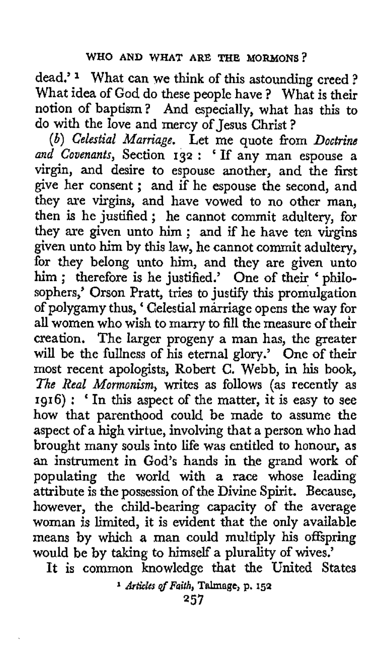dead.'<sup>1</sup> What can we think of this astounding creed ? What idea of God do these people have ? What is their notion of baptism? And especially, what has this to do with the love and mercy of Jesus Christ ?

*(b) Celestial Marriagc.* Let me quote from *Doctrine and Covenants,* Section **132** : ' If any man espouse a virgin, and desire to espouse another, and the first give her consent ; and if he espouse the second, and they are virgins, and have vowed to no other man, then is he justified; he cannot commit adultery, for they are given unto him ; and if he have ten virgins given unto him by this law, he cannot commit adultery, for they belong unto him, and they are given unto him ; therefore is he justified.' One of their ' philosophers,' Orson Pratt, tries to justify this promulgation of polygamy thus, ' Celestial marriage opens the way for all women who wish to marry to fill the measure of their creation. The larger progeny a man has, the greater will be the fullness of his eternal glory.' One of their most recent apologists, Robert C. Webb, in his **book,**  The Real Mormonism, writes as follows (as recently as **1916)** : ' In this aspect of the matter, it is easy to see how that parenthood could be made to assume the aspect of a high virtue, involving that a person **who** had brought many souls into life was entitled to honour, as **an** instrument in God's hands in the grand work of populating the world with a race whose leading attribute is the possession of the Divine Spirit. Because, however, the child-bearing capacity of the average woman is limited, it is evident that the only available means by which a man could multiply his offspring would be by taking to himselfa plurality of wives.'

**It is** common knowledge that the United States

**<sup>1</sup>***Artic[as @Faith,* **Thage,** p. **152**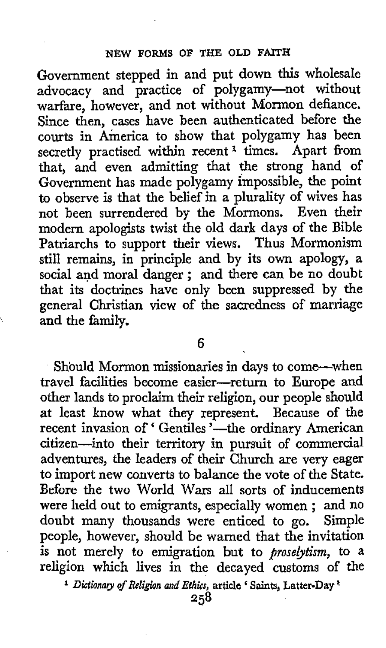Government stepped in and put down this wholesale advocacy and practice of polygamy-not without warfare, however, and not without Mormon defiance. Since then, cases have been authenticated before the courts in America to show that polygamy has been secretly practised within recent **1** times. Apart from that, and even admitting that the strong hand of Government has made polygamy impossible, the point to observe is that the belief in a plurality of wives has not been surrendered by the Mormons. Even their modern apologists twist the old dark days of the Bible Patriarchs to support their views. Thus Mormonism still remains, in principle and by its own apology, **a**  social and moral danger; and there can be no doubt that its doctrines have only been suppressed by the general Christian view of the sacredness **of** marriage and the family.

**6** 

Should Mormon missionaries in days to come-when travel facilities become easier-return to Europe and other lands to proclaim their religion, our people should at least know what they represent. Because of the recent invasion of 'Gentiles '--- the ordinary American citizen-into their territory in pursuit of commercial adventures, the leaders of their Church are very eager to import new converts to balance the vote of the State. Before the two World Wars all sorts of inducements were held out to emigrants, especially women ; and no doubt many thousands were enticed to go. Simple people, however, should be warned that the invitation is not merely to emigration but to *firoselytism,* to *a*  religion which lives in the decayed customs of the

*Dictionary* of *Religion and Ethics,* **article Saints, Latter-Day**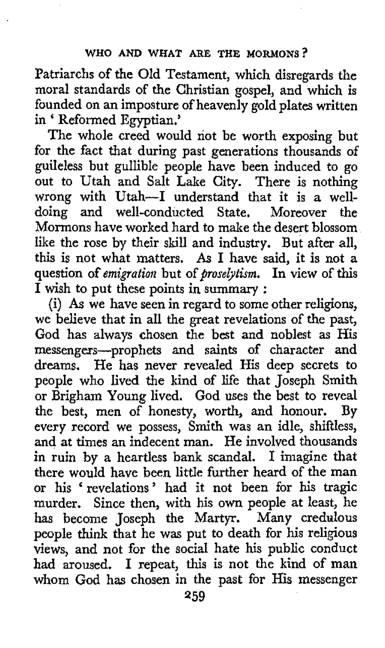Patriarchs of the Old Testament, which disregards the moral standards of the Christian gospel, and which is founded on an imposture of heavenly gold plates written in ' Reformed Egyptian.'

The whole creed would not be worth exposing but for the fact that during past generations thousands **of**  guileless but gullible people have been induced to go out to Utah and Salt Lake City. There is nothing wrong with Utah-I understand that it is a welldoing and well-conducted State. Moreover the Mormons have worked hard to make the desert blossom like the rose by their skill and industry. But after all, this is not what matters. **As** I have said, it is not a question of *emigratioii* but of *proselytism.* In view of this I wish to put these points in summary :

(i) **As** we have seen in regard to some other religions, we believe that in all the great revelations of the past, **God** has always chosen the best and noblest as His messengers-prophets and saints of character and dreams. He has never revealed His deep secrets to people who lived the kind of life that Joseph Smith or Brigham Young lived. God uses the best to reveal the best, men of honesty, worth, and honour. By every record we possess, Smith was an idle, shiftless, and at times an indecent man. He involved thousands in ruin by a heartless bank scandal. I imagine that there would have been little further heard of the man or his 'revelations' had it not been for his tragic murder. Since then, with his **own** people at least, he has become Joseph the Martyr. Many credulous people think that he was put to death for his religious views, and not for the social hate his public conduct had aroused. **I** repeat, this is not the kind of man whom God has chosen in the past for His messenger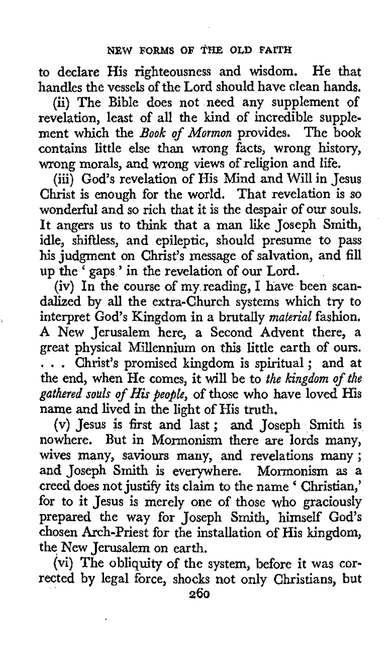to declare His righteousness and wisdom. He that handles the vessels of the Lord should have clean hands,

(ii) The Bible does not need any supplement of revelation, least of all the kind of incredible supplement which the *Book of Mormon* provides. The book contains little else than wrong facts, wrong history, wrong morals, and wrong views of religion and life.

(iii) God's revelation of His Mind and Will in Jesus Christ is enough for the world. That revelation is so wonderful and so rich that it is the despair of our souls. It angers us to think that a man like Joseph Smith, idle, shiftless, and epileptic, should presume to pass **his** judgment on Christ's message of salvation, and fill up the ' gaps' in the revelation of our Lord.

(iv) In the course of my reading, I have been scandalized by all the extra-Church systems which try to interpret God's Kingdom in a brutally *material* fashion. **A** New Jerusalem here, a Second Advent there, a great physical Millennium on this little earth of ours.  $\ldots$  . Christ's promised kingdom is spiritual; and at the end, when He comes, it will be to the kingdom of the *gathered souls* of *His people,* of those who have loved His name and lived in the light of His truth.

**(v)** Jesus is first and last; and Joseph Smith **is**  nowhere. But in Mormonism there are lords many, wives many, **saviours** many, and revelations many; and Joseph Smith is everywhere. Mormonism **as** a creed does not justify its claim to the name ' Christian,' for to it Jesus is merely one of those who graciously prepared the way for Joseph Smith, himself God's chosen Arch-Priest for the installation of His kingdom, the New Jerusalem on earth.

(vi) The obliquity of the system, before it was corrected by legal force, shocks not only Christians, but